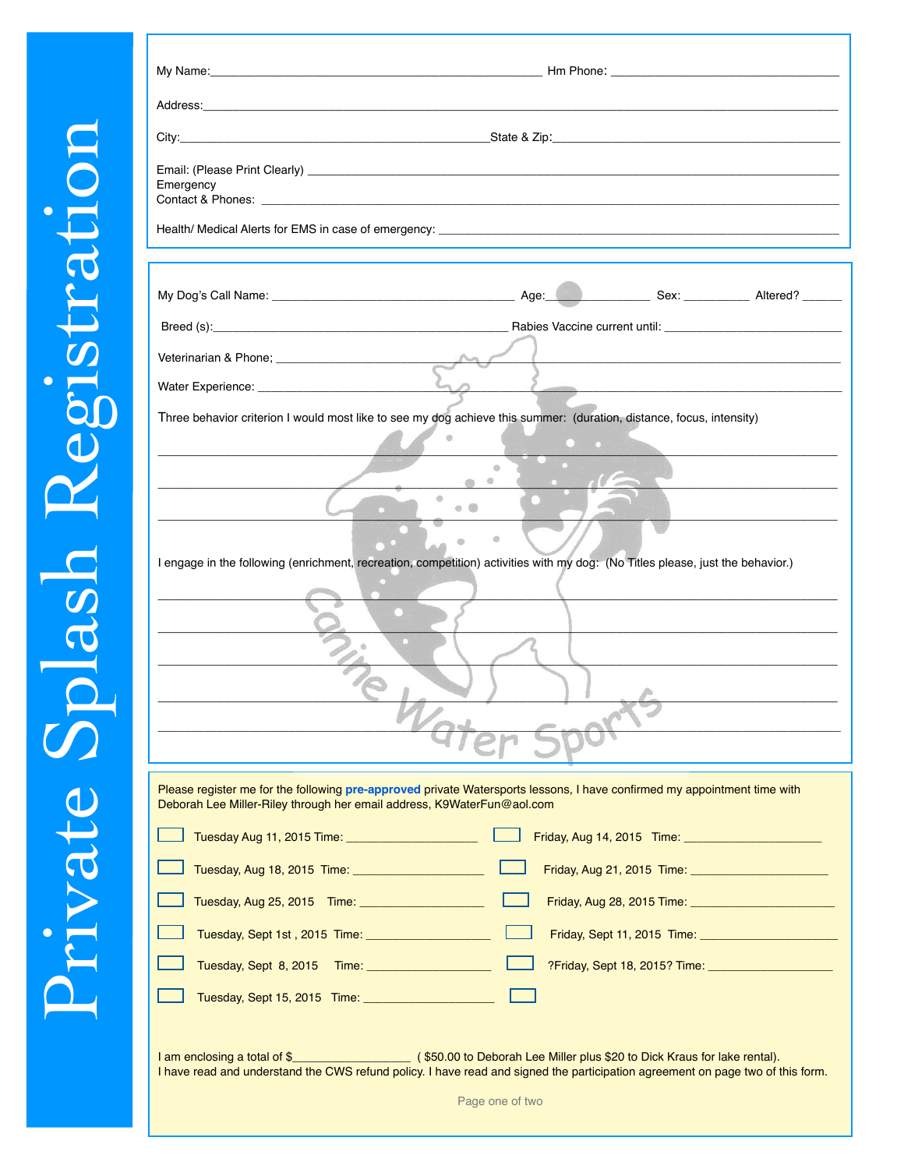|           | City: State & Zip: State & Zip: State & Zip: State & Zip: State & Zip: State & Zip: State & Zip: State & Zip: State & Zip: State & Zip: State & Zip: State & Zip: State & Zip: State & Zip: State & Zip: State & Zip: State & |                                                   |                                                                                                                                                                          |
|-----------|-------------------------------------------------------------------------------------------------------------------------------------------------------------------------------------------------------------------------------|---------------------------------------------------|--------------------------------------------------------------------------------------------------------------------------------------------------------------------------|
| Emergency |                                                                                                                                                                                                                               |                                                   |                                                                                                                                                                          |
|           |                                                                                                                                                                                                                               |                                                   |                                                                                                                                                                          |
|           |                                                                                                                                                                                                                               |                                                   |                                                                                                                                                                          |
|           |                                                                                                                                                                                                                               |                                                   |                                                                                                                                                                          |
|           |                                                                                                                                                                                                                               |                                                   |                                                                                                                                                                          |
|           |                                                                                                                                                                                                                               |                                                   |                                                                                                                                                                          |
|           | Three behavior criterion I would most like to see my dog achieve this summer: (duration, distance, focus, intensity)                                                                                                          |                                                   |                                                                                                                                                                          |
|           |                                                                                                                                                                                                                               |                                                   |                                                                                                                                                                          |
|           |                                                                                                                                                                                                                               |                                                   |                                                                                                                                                                          |
|           |                                                                                                                                                                                                                               | $\circ$<br>$\mathbf{a}$ . The set of $\mathbf{a}$ |                                                                                                                                                                          |
|           |                                                                                                                                                                                                                               |                                                   |                                                                                                                                                                          |
|           |                                                                                                                                                                                                                               | $\circledcirc$                                    |                                                                                                                                                                          |
|           | I engage in the following (enrichment, recreation, competition) activities with my dog: (No Titles please, just the behavior.)                                                                                                |                                                   |                                                                                                                                                                          |
|           |                                                                                                                                                                                                                               |                                                   |                                                                                                                                                                          |
|           |                                                                                                                                                                                                                               |                                                   |                                                                                                                                                                          |
|           |                                                                                                                                                                                                                               |                                                   |                                                                                                                                                                          |
|           |                                                                                                                                                                                                                               |                                                   |                                                                                                                                                                          |
|           |                                                                                                                                                                                                                               |                                                   |                                                                                                                                                                          |
|           |                                                                                                                                                                                                                               |                                                   |                                                                                                                                                                          |
|           |                                                                                                                                                                                                                               |                                                   |                                                                                                                                                                          |
|           | Please register me for the following pre-approved private Watersports lessons, I have confirmed my appointment time with                                                                                                      |                                                   |                                                                                                                                                                          |
|           | Deborah Lee Miller-Riley through her email address, K9WaterFun@aol.com                                                                                                                                                        |                                                   |                                                                                                                                                                          |
|           | Tuesday Aug 11, 2015 Time: _______________________                                                                                                                                                                            |                                                   |                                                                                                                                                                          |
|           |                                                                                                                                                                                                                               |                                                   |                                                                                                                                                                          |
|           | Tuesday, Aug 25, 2015 Time: ______________________                                                                                                                                                                            |                                                   |                                                                                                                                                                          |
|           | Tuesday, Sept 1st, 2015 Time: _______________________                                                                                                                                                                         |                                                   |                                                                                                                                                                          |
|           | Tuesday, Sept 8, 2015 Time: ______________________                                                                                                                                                                            |                                                   | Friday, Aug 14, 2015 Time: ________________________<br>Friday, Aug 21, 2015 Time: __________________________<br>Friday, Aug 28, 2015 Time: _____________________________ |

I am enclosing a total of \$\_\_\_\_\_\_\_\_\_\_\_\_\_\_\_\_\_\_ ( \$50.00 to Deborah Lee Miller plus \$20 to Dick Kraus for lake rental). I have read and understand the CWS refund policy. I have read and signed the participation agreement on page two of this form.

Page one of two